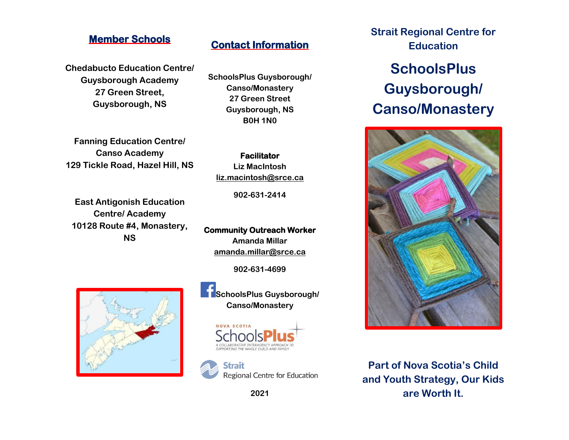## **Member Schools**

**Chedabucto Education Centre/ Guysborough Academy 27 Green Street, Guysborough, NS**

**Fanning Education Centre/ Canso Academy 129 Tickle Road, Hazel Hill, NS**

**East Antigonish Education Centre/ Academy 10128 Route #4, Monastery, NS**

**Contact Information** 

**SchoolsPlus Guysborough/ Canso/Monastery 27 Green Street Guysborough, NS B0H 1N0**

**Facilitator Liz MacIntosh [liz.macintosh@srce.ca](mailto:liz.macintosh@srce.ca)**

**902-631-2414**

**Community Outreach Worker Amanda Millar [amanda.millar@srce.ca](mailto:amanda.millar@srce.ca)**

**902-631-4699**



**SchoolsPlus Guysborough/ Canso/Monastery**





**2021**

**Strait Regional Centre for Education**

# **SchoolsPlus Guysborough/ Canso/Monastery**



**Part of Nova Scotia's Child and Youth Strategy, Our Kids are Worth It.**